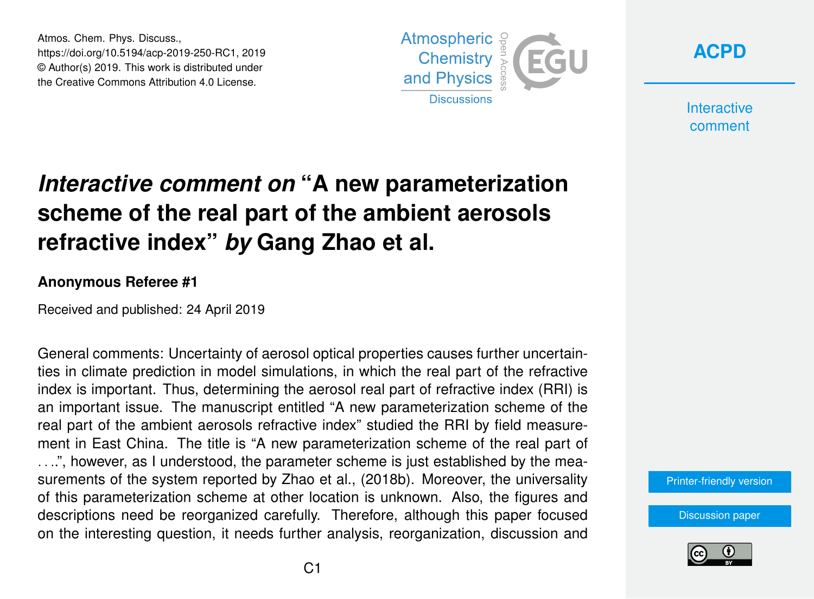Atmos. Chem. Phys. Discuss., https://doi.org/10.5194/acp-2019-250-RC1, 2019 © Author(s) 2019. This work is distributed under the Creative Commons Attribution 4.0 License.





**Interactive** comment

## *Interactive comment on* **"A new parameterization scheme of the real part of the ambient aerosols refractive index"** *by* **Gang Zhao et al.**

## **Anonymous Referee #1**

Received and published: 24 April 2019

General comments: Uncertainty of aerosol optical properties causes further uncertainties in climate prediction in model simulations, in which the real part of the refractive index is important. Thus, determining the aerosol real part of refractive index (RRI) is an important issue. The manuscript entitled "A new parameterization scheme of the real part of the ambient aerosols refractive index" studied the RRI by field measurement in East China. The title is "A new parameterization scheme of the real part of . . ..", however, as I understood, the parameter scheme is just established by the measurements of the system reported by Zhao et al., (2018b). Moreover, the universality of this parameterization scheme at other location is unknown. Also, the figures and descriptions need be reorganized carefully. Therefore, although this paper focused on the interesting question, it needs further analysis, reorganization, discussion and

[Printer-friendly version](https://www.atmos-chem-phys-discuss.net/acp-2019-250/acp-2019-250-RC1-print.pdf)

[Discussion paper](https://www.atmos-chem-phys-discuss.net/acp-2019-250)